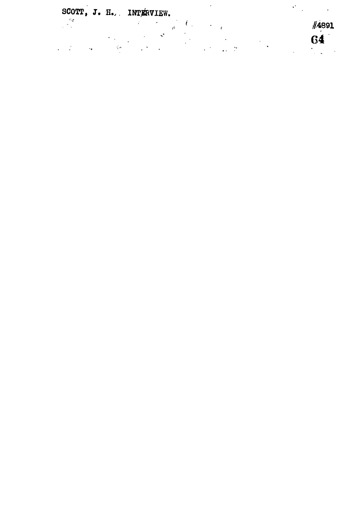SCOTT, J. H., INTERVIEW.

 $\begin{bmatrix} \frac{\partial \phi}{\partial x} \\ \frac{\partial \phi}{\partial y} \end{bmatrix}$  $\label{eq:2.1} \frac{1}{2} \int_{0}^{2\pi} \frac{1}{\sqrt{2}} \left( \frac{1}{2} \left( \frac{1}{2} \right)^{2} \right) \, d\mu \, d\mu \, d\mu$ 

 $\ddot{\phantom{a}}$ 

#4891  $64$  $\sum_{i=1}^{n}$ 

 $\mathcal{O}(\sqrt{2\pi})$ 

l.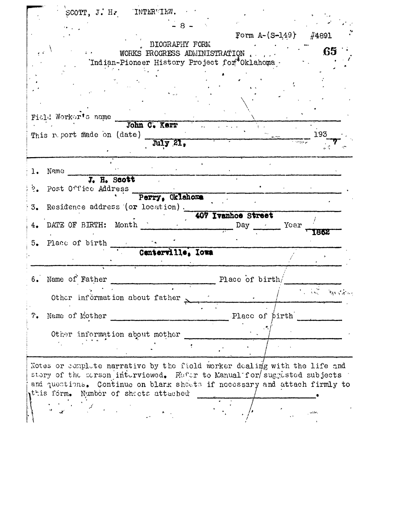|                  |                                                                                                                                                      |       |                                                                                | Form $A - (S - 149)$ |      | $\#4891$                                     |  |
|------------------|------------------------------------------------------------------------------------------------------------------------------------------------------|-------|--------------------------------------------------------------------------------|----------------------|------|----------------------------------------------|--|
|                  |                                                                                                                                                      |       | <b>BIOGRAPHY FORM</b>                                                          |                      |      | 65                                           |  |
|                  |                                                                                                                                                      |       | WORKS FROGRESS ADMINISTRATION<br>'Indian-Pioneer History Project for *Oklahoma |                      |      |                                              |  |
|                  |                                                                                                                                                      |       |                                                                                |                      |      |                                              |  |
|                  |                                                                                                                                                      |       |                                                                                |                      |      |                                              |  |
|                  |                                                                                                                                                      |       |                                                                                |                      |      |                                              |  |
|                  |                                                                                                                                                      |       |                                                                                |                      |      |                                              |  |
|                  | Field Worker's name                                                                                                                                  |       |                                                                                |                      |      |                                              |  |
|                  |                                                                                                                                                      |       | John C. Kerr                                                                   |                      |      |                                              |  |
|                  | This report made on (date)                                                                                                                           |       |                                                                                |                      |      | 193                                          |  |
|                  |                                                                                                                                                      |       | MIY 21,                                                                        |                      |      |                                              |  |
|                  |                                                                                                                                                      |       |                                                                                |                      |      |                                              |  |
|                  | Name                                                                                                                                                 |       |                                                                                |                      |      |                                              |  |
| $\overline{2}$ . | J. H. Scott<br>Post Office Address                                                                                                                   |       |                                                                                |                      |      |                                              |  |
|                  |                                                                                                                                                      |       | Perry, Oklahoma                                                                |                      |      |                                              |  |
| 3.               | Residence address (or location).                                                                                                                     |       |                                                                                |                      |      |                                              |  |
|                  |                                                                                                                                                      |       |                                                                                | 407 Ivanhoe Street   |      |                                              |  |
|                  | DATE OF BIRTH:                                                                                                                                       | Month |                                                                                | Day                  | Year | 1862                                         |  |
| 5.               | Place of birth                                                                                                                                       |       |                                                                                |                      |      |                                              |  |
|                  |                                                                                                                                                      |       | Centerville, Iowa                                                              |                      |      |                                              |  |
|                  |                                                                                                                                                      |       |                                                                                |                      |      |                                              |  |
| 6.               | Name of Father                                                                                                                                       |       |                                                                                | Place of birth/      |      |                                              |  |
|                  |                                                                                                                                                      |       |                                                                                |                      |      | $\mathbb{R} \cup \mathbb{R}$ of $\mathbb{R}$ |  |
|                  | Other information about father                                                                                                                       |       |                                                                                |                      |      |                                              |  |
| 7.               | Name of Mother                                                                                                                                       |       |                                                                                | Place of pirth       |      |                                              |  |
|                  |                                                                                                                                                      |       |                                                                                |                      |      |                                              |  |
|                  | Other information about mother                                                                                                                       |       |                                                                                |                      |      |                                              |  |
|                  |                                                                                                                                                      |       |                                                                                |                      |      |                                              |  |
|                  |                                                                                                                                                      |       |                                                                                |                      |      |                                              |  |
|                  | Notes or complete narrative by the field worker dealing with the life and                                                                            |       |                                                                                |                      |      |                                              |  |
|                  | story of the serson interviewed. Refer to Manual for suggested subjects<br>and questions. Continue on blark sheets if necessary and attach firmly to |       |                                                                                |                      |      |                                              |  |
|                  | this form. Number of sheets attached                                                                                                                 |       |                                                                                |                      |      |                                              |  |
|                  |                                                                                                                                                      |       |                                                                                |                      |      |                                              |  |
|                  |                                                                                                                                                      |       |                                                                                |                      |      |                                              |  |
|                  |                                                                                                                                                      |       |                                                                                |                      |      |                                              |  |